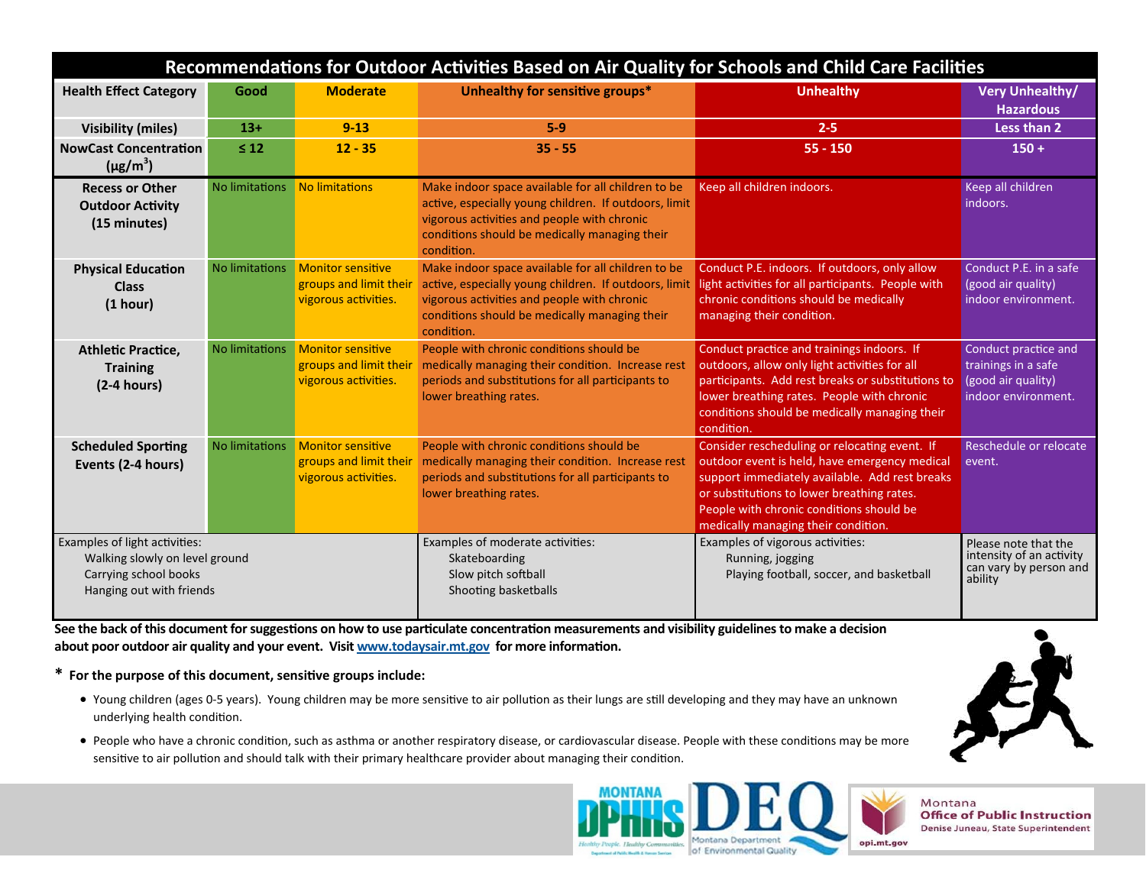| Recommendations for Outdoor Activities Based on Air Quality for Schools and Child Care Facilities                    |                       |                                                                            |                                                                                                                                                                                                                           |                                                                                                                                                                                                                                                                                   |                                                                                          |
|----------------------------------------------------------------------------------------------------------------------|-----------------------|----------------------------------------------------------------------------|---------------------------------------------------------------------------------------------------------------------------------------------------------------------------------------------------------------------------|-----------------------------------------------------------------------------------------------------------------------------------------------------------------------------------------------------------------------------------------------------------------------------------|------------------------------------------------------------------------------------------|
| <b>Health Effect Category</b>                                                                                        | Good                  | <b>Moderate</b>                                                            | Unhealthy for sensitive groups*                                                                                                                                                                                           | <b>Unhealthy</b>                                                                                                                                                                                                                                                                  | <b>Very Unhealthy/</b><br><b>Hazardous</b>                                               |
| <b>Visibility (miles)</b>                                                                                            | $13+$                 | $9 - 13$                                                                   | $5-9$                                                                                                                                                                                                                     | $2 - 5$                                                                                                                                                                                                                                                                           | Less than 2                                                                              |
| <b>NowCast Concentration</b><br>$(\mu g/m^3)$                                                                        | $\leq 12$             | $12 - 35$                                                                  | $35 - 55$                                                                                                                                                                                                                 | $55 - 150$                                                                                                                                                                                                                                                                        | $150 +$                                                                                  |
| <b>Recess or Other</b><br><b>Outdoor Activity</b><br>(15 minutes)                                                    | <b>No limitations</b> | No limitations                                                             | Make indoor space available for all children to be<br>active, especially young children. If outdoors, limit<br>vigorous activities and people with chronic<br>conditions should be medically managing their<br>condition. | Keep all children indoors.                                                                                                                                                                                                                                                        | Keep all children<br>indoors.                                                            |
| <b>Physical Education</b><br><b>Class</b><br>(1 hour)                                                                | No limitations        | <b>Monitor sensitive</b><br>groups and limit their<br>vigorous activities. | Make indoor space available for all children to be<br>active, especially young children. If outdoors, limit<br>vigorous activities and people with chronic<br>conditions should be medically managing their<br>condition. | Conduct P.E. indoors. If outdoors, only allow<br>light activities for all participants. People with<br>chronic conditions should be medically<br>managing their condition.                                                                                                        | Conduct P.E. in a safe<br>(good air quality)<br>indoor environment.                      |
| <b>Athletic Practice,</b><br><b>Training</b><br>$(2-4 hours)$                                                        | No limitations        | <b>Monitor sensitive</b><br>groups and limit their<br>vigorous activities. | People with chronic conditions should be<br>medically managing their condition. Increase rest<br>periods and substitutions for all participants to<br>lower breathing rates.                                              | Conduct practice and trainings indoors. If<br>outdoors, allow only light activities for all<br>participants. Add rest breaks or substitutions to<br>lower breathing rates. People with chronic<br>conditions should be medically managing their<br>condition.                     | Conduct practice and<br>trainings in a safe<br>(good air quality)<br>indoor environment. |
| <b>Scheduled Sporting</b><br>Events (2-4 hours)                                                                      | No limitations        | <b>Monitor sensitive</b><br>groups and limit their<br>vigorous activities. | People with chronic conditions should be<br>medically managing their condition. Increase rest<br>periods and substitutions for all participants to<br>lower breathing rates.                                              | Consider rescheduling or relocating event. If<br>outdoor event is held, have emergency medical<br>support immediately available. Add rest breaks<br>or substitutions to lower breathing rates.<br>People with chronic conditions should be<br>medically managing their condition. | Reschedule or relocate<br>event.                                                         |
| Examples of light activities:<br>Walking slowly on level ground<br>Carrying school books<br>Hanging out with friends |                       |                                                                            | Examples of moderate activities:<br>Skateboarding<br>Slow pitch softball<br>Shooting basketballs                                                                                                                          | Examples of vigorous activities:<br>Running, jogging<br>Playing football, soccer, and basketball                                                                                                                                                                                  | Please note that the<br>intensity of an activity<br>can vary by person and<br>ability    |

**See the back of this document for suggestions on how to use particulate concentration measurements and visibility guidelines to make a decision** about poor outdoor air quality and your event. Visit www.todaysair.mt.gov for more information.

**\* For the purpose of this document, sensiƟve groups include:** 

- Young children (ages 0-5 years). Young children may be more sensitive to air pollution as their lungs are still developing and they may have an unknown underlying health condition.
- $\bullet$  People who have a chronic condition, such as asthma or another respiratory disease, or cardiovascular disease. People with these conditions may be more sensitive to air pollution and should talk with their primary healthcare provider about managing their condition.



Montana **Office of Public Instruction** Denise Juneau, State Superintendent